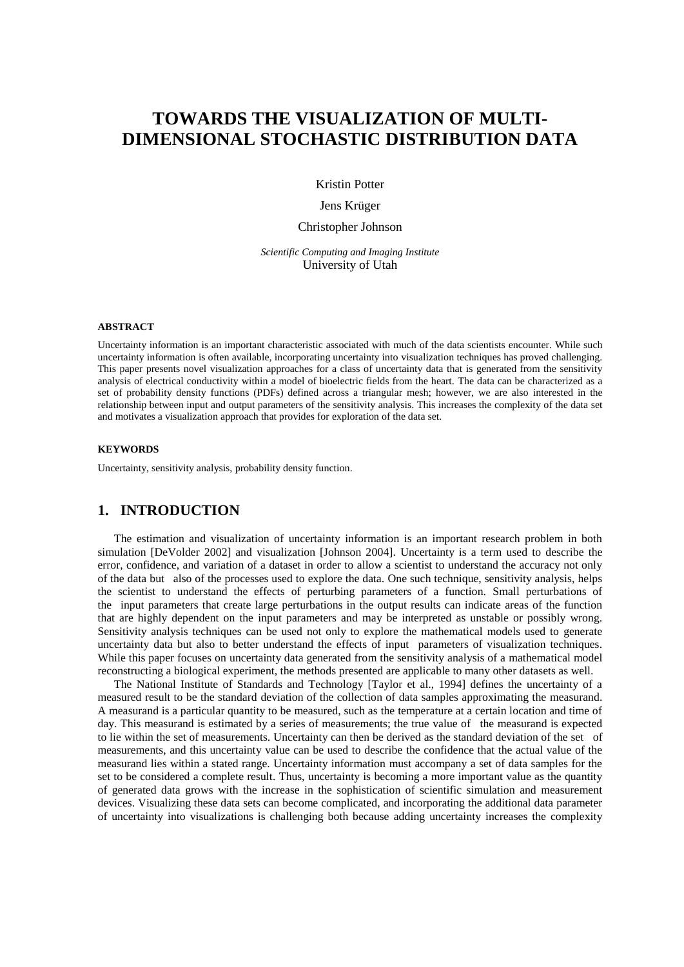# **TOWARDS THE VISUALIZATION OF MULTI-DIMENSIONAL STOCHASTIC DISTRIBUTION DATA**

Kristin Potter

Jens Krüger

Christopher Johnson

*Scientific Computing and Imaging Institute* University of Utah

#### **ABSTRACT**

Uncertainty information is an important characteristic associated with much of the data scientists encounter. While such uncertainty information is often available, incorporating uncertainty into visualization techniques has proved challenging. This paper presents novel visualization approaches for a class of uncertainty data that is generated from the sensitivity analysis of electrical conductivity within a model of bioelectric fields from the heart. The data can be characterized as a set of probability density functions (PDFs) defined across a triangular mesh; however, we are also interested in the relationship between input and output parameters of the sensitivity analysis. This increases the complexity of the data set and motivates a visualization approach that provides for exploration of the data set.

#### **KEYWORDS**

Uncertainty, sensitivity analysis, probability density function.

# **1. INTRODUCTION**

The estimation and visualization of uncertainty information is an important research problem in both simulation [DeVolder 2002] and visualization [Johnson 2004]. Uncertainty is a term used to describe the error, confidence, and variation of a dataset in order to allow a scientist to understand the accuracy not only of the data but also of the processes used to explore the data. One such technique, sensitivity analysis, helps the scientist to understand the effects of perturbing parameters of a function. Small perturbations of the input parameters that create large perturbations in the output results can indicate areas of the function that are highly dependent on the input parameters and may be interpreted as unstable or possibly wrong. Sensitivity analysis techniques can be used not only to explore the mathematical models used to generate uncertainty data but also to better understand the effects of input parameters of visualization techniques. While this paper focuses on uncertainty data generated from the sensitivity analysis of a mathematical model reconstructing a biological experiment, the methods presented are applicable to many other datasets as well.

The National Institute of Standards and Technology [Taylor et al., 1994] defines the uncertainty of a measured result to be the standard deviation of the collection of data samples approximating the measurand. A measurand is a particular quantity to be measured, such as the temperature at a certain location and time of day. This measurand is estimated by a series of measurements; the true value of the measurand is expected to lie within the set of measurements. Uncertainty can then be derived as the standard deviation of the set of measurements, and this uncertainty value can be used to describe the confidence that the actual value of the measurand lies within a stated range. Uncertainty information must accompany a set of data samples for the set to be considered a complete result. Thus, uncertainty is becoming a more important value as the quantity of generated data grows with the increase in the sophistication of scientific simulation and measurement devices. Visualizing these data sets can become complicated, and incorporating the additional data parameter of uncertainty into visualizations is challenging both because adding uncertainty increases the complexity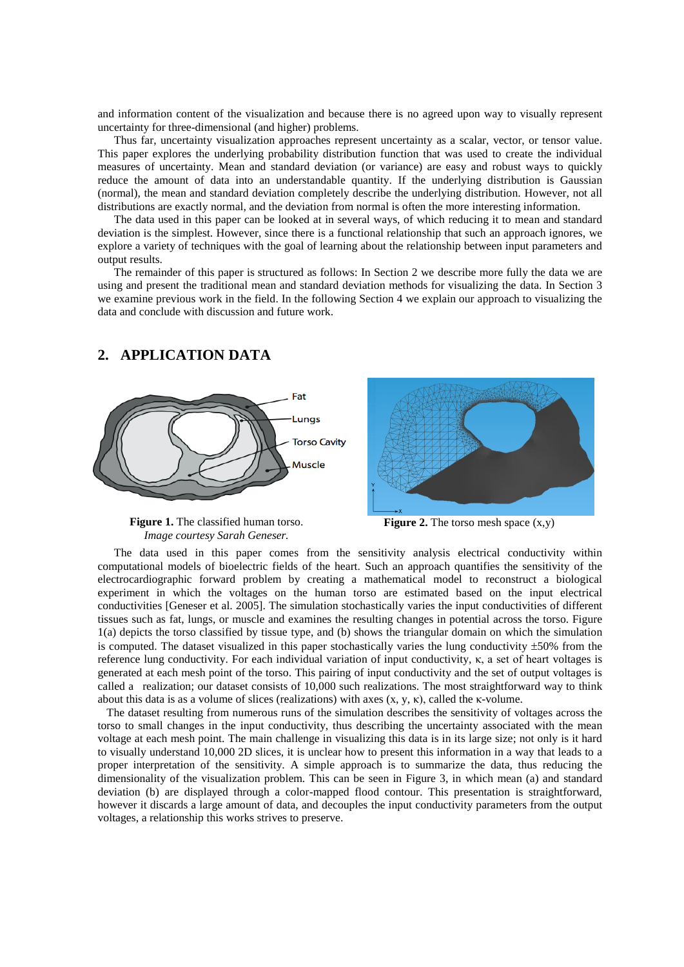and information content of the visualization and because there is no agreed upon way to visually represent uncertainty for three-dimensional (and higher) problems.

Thus far, uncertainty visualization approaches represent uncertainty as a scalar, vector, or tensor value. This paper explores the underlying probability distribution function that was used to create the individual measures of uncertainty. Mean and standard deviation (or variance) are easy and robust ways to quickly reduce the amount of data into an understandable quantity. If the underlying distribution is Gaussian (normal), the mean and standard deviation completely describe the underlying distribution. However, not all distributions are exactly normal, and the deviation from normal is often the more interesting information.

The data used in this paper can be looked at in several ways, of which reducing it to mean and standard deviation is the simplest. However, since there is a functional relationship that such an approach ignores, we explore a variety of techniques with the goal of learning about the relationship between input parameters and output results.

The remainder of this paper is structured as follows: In Section 2 we describe more fully the data we are using and present the traditional mean and standard deviation methods for visualizing the data. In Section 3 we examine previous work in the field. In the following Section 4 we explain our approach to visualizing the data and conclude with discussion and future work.

### **2. APPLICATION DATA**



**Figure 1.** The classified human torso. *Image courtesy Sarah Geneser.*



The data used in this paper comes from the sensitivity analysis electrical conductivity within computational models of bioelectric fields of the heart. Such an approach quantifies the sensitivity of the electrocardiographic forward problem by creating a mathematical model to reconstruct a biological experiment in which the voltages on the human torso are estimated based on the input electrical conductivities [Geneser et al. 2005]. The simulation stochastically varies the input conductivities of different tissues such as fat, lungs, or muscle and examines the resulting changes in potential across the torso. Figure 1(a) depicts the torso classified by tissue type, and (b) shows the triangular domain on which the simulation is computed. The dataset visualized in this paper stochastically varies the lung conductivity  $\pm 50\%$  from the reference lung conductivity. For each individual variation of input conductivity, κ, a set of heart voltages is generated at each mesh point of the torso. This pairing of input conductivity and the set of output voltages is called a realization; our dataset consists of 10,000 such realizations. The most straightforward way to think about this data is as a volume of slices (realizations) with axes  $(x, y, k)$ , called the  $k$ -volume.

The dataset resulting from numerous runs of the simulation describes the sensitivity of voltages across the torso to small changes in the input conductivity, thus describing the uncertainty associated with the mean voltage at each mesh point. The main challenge in visualizing this data is in its large size; not only is it hard to visually understand 10,000 2D slices, it is unclear how to present this information in a way that leads to a proper interpretation of the sensitivity. A simple approach is to summarize the data, thus reducing the dimensionality of the visualization problem. This can be seen in Figure 3, in which mean (a) and standard deviation (b) are displayed through a color-mapped flood contour. This presentation is straightforward, however it discards a large amount of data, and decouples the input conductivity parameters from the output voltages, a relationship this works strives to preserve.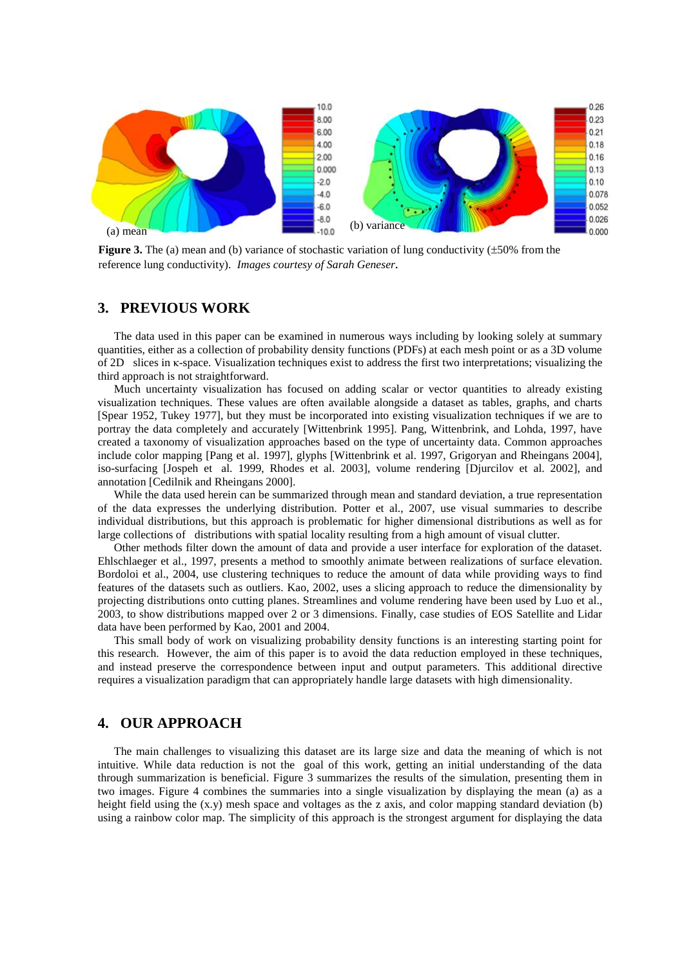

**Figure 3.** The (a) mean and (b) variance of stochastic variation of lung conductivity  $(\pm 50\%$  from the reference lung conductivity). *Images courtesy of Sarah Geneser.*

## **3. PREVIOUS WORK**

The data used in this paper can be examined in numerous ways including by looking solely at summary quantities, either as a collection of probability density functions (PDFs) at each mesh point or as a 3D volume of 2D slices in κ-space. Visualization techniques exist to address the first two interpretations; visualizing the third approach is not straightforward.

Much uncertainty visualization has focused on adding scalar or vector quantities to already existing visualization techniques. These values are often available alongside a dataset as tables, graphs, and charts [Spear 1952, Tukey 1977], but they must be incorporated into existing visualization techniques if we are to portray the data completely and accurately [Wittenbrink 1995]. Pang, Wittenbrink, and Lohda, 1997, have created a taxonomy of visualization approaches based on the type of uncertainty data. Common approaches include color mapping [Pang et al. 1997], glyphs [Wittenbrink et al. 1997, Grigoryan and Rheingans 2004], iso-surfacing [Jospeh et al. 1999, Rhodes et al. 2003], volume rendering [Djurcilov et al. 2002], and annotation [Cedilnik and Rheingans 2000].

While the data used herein can be summarized through mean and standard deviation, a true representation of the data expresses the underlying distribution. Potter et al., 2007, use visual summaries to describe individual distributions, but this approach is problematic for higher dimensional distributions as well as for large collections of distributions with spatial locality resulting from a high amount of visual clutter.

Other methods filter down the amount of data and provide a user interface for exploration of the dataset. Ehlschlaeger et al., 1997, presents a method to smoothly animate between realizations of surface elevation. Bordoloi et al., 2004, use clustering techniques to reduce the amount of data while providing ways to find features of the datasets such as outliers. Kao, 2002, uses a slicing approach to reduce the dimensionality by projecting distributions onto cutting planes. Streamlines and volume rendering have been used by Luo et al., 2003, to show distributions mapped over 2 or 3 dimensions. Finally, case studies of EOS Satellite and Lidar data have been performed by Kao, 2001 and 2004.

This small body of work on visualizing probability density functions is an interesting starting point for this research. However, the aim of this paper is to avoid the data reduction employed in these techniques, and instead preserve the correspondence between input and output parameters. This additional directive requires a visualization paradigm that can appropriately handle large datasets with high dimensionality.

# **4. OUR APPROACH**

The main challenges to visualizing this dataset are its large size and data the meaning of which is not intuitive. While data reduction is not the goal of this work, getting an initial understanding of the data through summarization is beneficial. Figure 3 summarizes the results of the simulation, presenting them in two images. Figure 4 combines the summaries into a single visualization by displaying the mean (a) as a height field using the (x.y) mesh space and voltages as the z axis, and color mapping standard deviation (b) using a rainbow color map. The simplicity of this approach is the strongest argument for displaying the data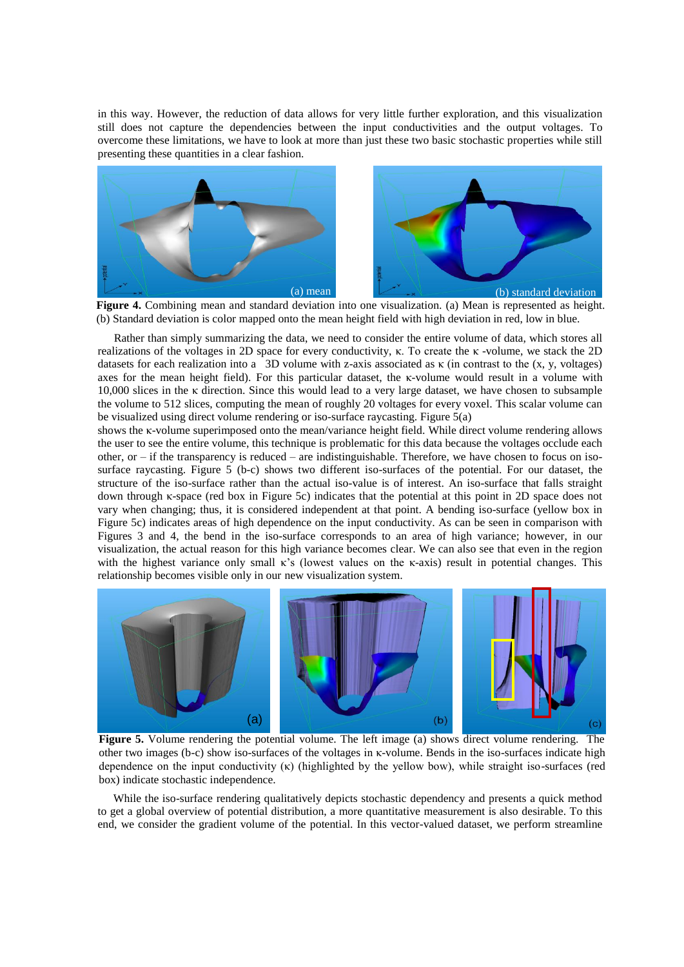in this way. However, the reduction of data allows for very little further exploration, and this visualization still does not capture the dependencies between the input conductivities and the output voltages. To overcome these limitations, we have to look at more than just these two basic stochastic properties while still presenting these quantities in a clear fashion.



**Figure 4.** Combining mean and standard deviation into one visualization. (a) Mean is represented as height. (b) Standard deviation is color mapped onto the mean height field with high deviation in red, low in blue.

Rather than simply summarizing the data, we need to consider the entire volume of data, which stores all realizations of the voltages in 2D space for every conductivity, κ. To create the κ -volume, we stack the 2D datasets for each realization into a 3D volume with z-axis associated as  $\kappa$  (in contrast to the (x, y, voltages) axes for the mean height field). For this particular dataset, the κ-volume would result in a volume with 10,000 slices in the κ direction. Since this would lead to a very large dataset, we have chosen to subsample the volume to 512 slices, computing the mean of roughly 20 voltages for every voxel. This scalar volume can be visualized using direct volume rendering or iso-surface raycasting. Figure 5(a)

shows the κ-volume superimposed onto the mean/variance height field. While direct volume rendering allows the user to see the entire volume, this technique is problematic for this data because the voltages occlude each other, or – if the transparency is reduced – are indistinguishable. Therefore, we have chosen to focus on isosurface raycasting. Figure 5 (b-c) shows two different iso-surfaces of the potential. For our dataset, the structure of the iso-surface rather than the actual iso-value is of interest. An iso-surface that falls straight down through κ-space (red box in Figure 5c) indicates that the potential at this point in 2D space does not vary when changing; thus, it is considered independent at that point. A bending iso-surface (yellow box in Figure 5c) indicates areas of high dependence on the input conductivity. As can be seen in comparison with Figures 3 and 4, the bend in the iso-surface corresponds to an area of high variance; however, in our visualization, the actual reason for this high variance becomes clear. We can also see that even in the region with the highest variance only small  $\kappa$ 's (lowest values on the  $\kappa$ -axis) result in potential changes. This relationship becomes visible only in our new visualization system.



**Figure 5.** Volume rendering the potential volume. The left image (a) shows direct volume rendering. The other two images (b-c) show iso-surfaces of the voltages in κ-volume. Bends in the iso-surfaces indicate high dependence on the input conductivity (κ) (highlighted by the yellow bow), while straight iso-surfaces (red box) indicate stochastic independence.

While the iso-surface rendering qualitatively depicts stochastic dependency and presents a quick method to get a global overview of potential distribution, a more quantitative measurement is also desirable. To this end, we consider the gradient volume of the potential. In this vector-valued dataset, we perform streamline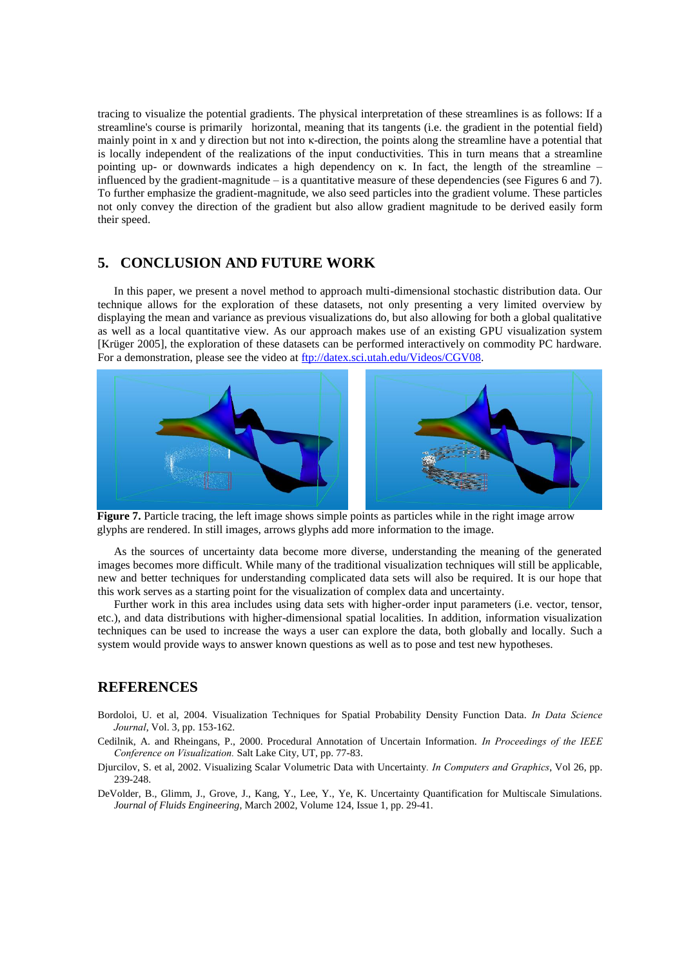tracing to visualize the potential gradients. The physical interpretation of these streamlines is as follows: If a streamline's course is primarily horizontal, meaning that its tangents (i.e. the gradient in the potential field) mainly point in x and y direction but not into κ-direction, the points along the streamline have a potential that is locally independent of the realizations of the input conductivities. This in turn means that a streamline pointing up- or downwards indicates a high dependency on κ. In fact, the length of the streamline – influenced by the gradient-magnitude – is a quantitative measure of these dependencies (see Figures 6 and 7). To further emphasize the gradient-magnitude, we also seed particles into the gradient volume. These particles not only convey the direction of the gradient but also allow gradient magnitude to be derived easily form their speed.

# **5. CONCLUSION AND FUTURE WORK**

In this paper, we present a novel method to approach multi-dimensional stochastic distribution data. Our technique allows for the exploration of these datasets, not only presenting a very limited overview by displaying the mean and variance as previous visualizations do, but also allowing for both a global qualitative as well as a local quantitative view. As our approach makes use of an existing GPU visualization system [Krüger 2005], the exploration of these datasets can be performed interactively on commodity PC hardware. For a demonstration, please see the video at [ftp://datex.sci.utah.edu/Videos/CGV08.](ftp://datex.sci.utah.edu/Videos/CGV08)



**Figure 7.** Particle tracing, the left image shows simple points as particles while in the right image arrow glyphs are rendered. In still images, arrows glyphs add more information to the image.

As the sources of uncertainty data become more diverse, understanding the meaning of the generated images becomes more difficult. While many of the traditional visualization techniques will still be applicable, new and better techniques for understanding complicated data sets will also be required. It is our hope that this work serves as a starting point for the visualization of complex data and uncertainty.

Further work in this area includes using data sets with higher-order input parameters (i.e. vector, tensor, etc.), and data distributions with higher-dimensional spatial localities. In addition, information visualization techniques can be used to increase the ways a user can explore the data, both globally and locally. Such a system would provide ways to answer known questions as well as to pose and test new hypotheses.

# **REFERENCES**

- Bordoloi, U. et al, 2004. Visualization Techniques for Spatial Probability Density Function Data. *In Data Science Journal*, Vol. 3, pp. 153-162.
- Cedilnik, A. and Rheingans, P., 2000. Procedural Annotation of Uncertain Information. *In Proceedings of the IEEE Conference on Visualization.* Salt Lake City, UT, pp. 77-83.
- Djurcilov, S. et al, 2002. Visualizing Scalar Volumetric Data with Uncertainty*. In Computers and Graphics*, Vol 26, pp. 239-248.
- DeVolder, B., Glimm, J., Grove, J., Kang, Y., Lee, Y., Ye, K. Uncertainty Quantification for Multiscale Simulations. *Journal of Fluids Engineering*, March 2002, Volume 124, Issue 1, pp. 29-41.